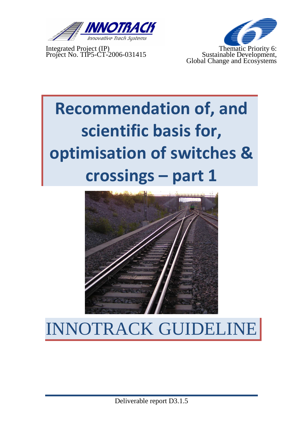

Integrated Project (IP) Thematic Priority 6: Project No. TIP5-CT-2006-031415 Sustainable Development,



# **Recommendation of, and scientific basis for, optimisation of switches & crossings – part 1**



# INNOTRACK GUIDELIN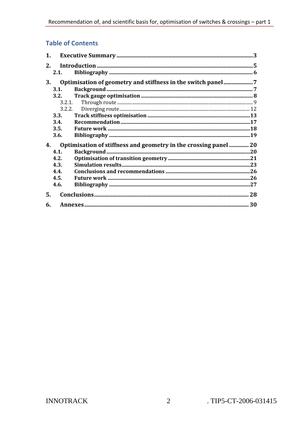#### **Table of Contents**

| 1.                                                                     |        |                                                             |  |
|------------------------------------------------------------------------|--------|-------------------------------------------------------------|--|
| 2.                                                                     |        |                                                             |  |
|                                                                        | 2.1.   |                                                             |  |
| 3.                                                                     |        | Optimisation of geometry and stiffness in the switch panel7 |  |
|                                                                        | 3.1.   |                                                             |  |
|                                                                        | 3.2.   |                                                             |  |
|                                                                        | 3.2.1. |                                                             |  |
|                                                                        |        |                                                             |  |
|                                                                        | 3.3.   |                                                             |  |
|                                                                        | 3.4.   |                                                             |  |
|                                                                        | 3.5.   |                                                             |  |
|                                                                        | 3.6.   |                                                             |  |
| Optimisation of stiffness and geometry in the crossing panel  20<br>4. |        |                                                             |  |
|                                                                        | 4.1.   |                                                             |  |
|                                                                        | 4.2.   |                                                             |  |
|                                                                        | 4.3.   |                                                             |  |
|                                                                        | 4.4.   |                                                             |  |
|                                                                        | 4.5.   |                                                             |  |
|                                                                        | 4.6.   |                                                             |  |
| 5.                                                                     |        |                                                             |  |
| 6.                                                                     |        |                                                             |  |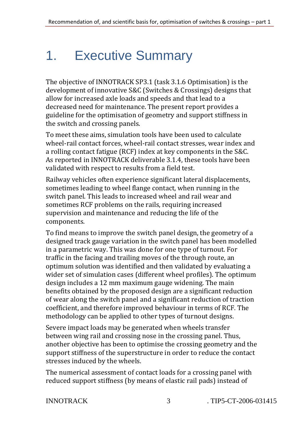# 1. Executive Summary

The objective of INNOTRACK SP3.1 (task 3.1.6 Optimisation) is the development of innovative S&C (Switches & Crossings) designs that allow for increased axle loads and speeds and that lead to a decreased need for maintenance. The present report provides a guideline for the optimisation of geometry and support stiffness in the switch and crossing panels.

To meet these aims, simulation tools have been used to calculate wheel-rail contact forces, wheel-rail contact stresses, wear index and a rolling contact fatigue (RCF) index at key components in the S&C. As reported in INNOTRACK deliverable 3.1.4, these tools have been validated with respect to results from a field test.

Railway vehicles often experience significant lateral displacements, sometimes leading to wheel flange contact, when running in the switch panel. This leads to increased wheel and rail wear and sometimes RCF problems on the rails, requiring increased supervision and maintenance and reducing the life of the components.

To find means to improve the switch panel design, the geometry of a designed track gauge variation in the switch panel has been modelled in a parametric way. This was done for one type of turnout. For traffic in the facing and trailing moves of the through route, an optimum solution was identified and then validated by evaluating a wider set of simulation cases (different wheel profiles). The optimum design includes a 12 mm maximum gauge widening. The main benefits obtained by the proposed design are a significant reduction of wear along the switch panel and a significant reduction of traction coefficient, and therefore improved behaviour in terms of RCF. The methodology can be applied to other types of turnout designs.

Severe impact loads may be generated when wheels transfer between wing rail and crossing nose in the crossing panel. Thus, another objective has been to optimise the crossing geometry and the support stiffness of the superstructure in order to reduce the contact stresses induced by the wheels.

The numerical assessment of contact loads for a crossing panel with reduced support stiffness (by means of elastic rail pads) instead of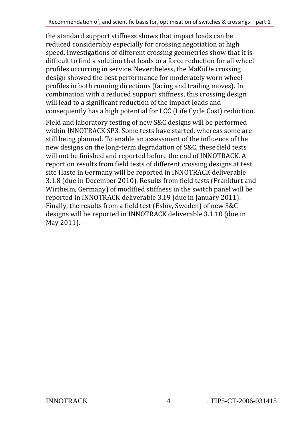the standard support stiffness shows that impact loads can be reduced considerably especially for crossing negotiation at high speed. Investigations of different crossing geometries show that it is difficult to find a solution that leads to a force reduction for all wheel profiles occurring in service. Nevertheless, the MaKüDe crossing design showed the best performance for moderately worn wheel profiles in both running directions (facing and trailing moves). In combination with a reduced support stiffness, this crossing design will lead to a significant reduction of the impact loads and consequently has a high potential for LCC (Life Cycle Cost) reduction.

Field and laboratory testing of new S&C designs will be performed within INNOTRACK SP3. Some tests have started, whereas some are still being planned. To enable an assessment of the influence of the new designs on the long-term degradation of S&C, these field tests will not be finished and reported before the end of INNOTRACK. A report on results from field tests of different crossing designs at test site Haste in Germany will be reported in INNOTRACK deliverable 3.1.8 (due in December 2010). Results from field tests (Frankfurt and Wirtheim, Germany) of modified stiffness in the switch panel will be reported in INNOTRACK deliverable 3.19 (due in January 2011). Finally, the results from a field test (Eslöv, Sweden) of new S&C designs will be reported in INNOTRACK deliverable 3.1.10 (due in May 2011).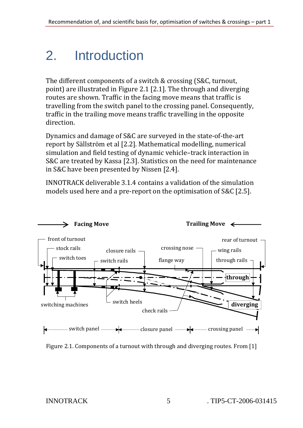### 2. Introduction

The different components of a switch & crossing (S&C, turnout, point) are illustrated in Figure 2.1 [2.1]. The through and diverging routes are shown. Traffic in the facing move means that traffic is travelling from the switch panel to the crossing panel. Consequently, traffic in the trailing move means traffic travelling in the opposite direction.

Dynamics and damage of S&C are surveyed in the state-of-the-art report by Sällström et al [2.2]. Mathematical modelling, numerical simulation and field testing of dynamic vehicle–track interaction in S&C are treated by Kassa [2.3]. Statistics on the need for maintenance in S&C have been presented by Nissen [2.4].

INNOTRACK deliverable 3.1.4 contains a validation of the simulation models used here and a pre-report on the optimisation of S&C [2.5].



Figure 2.1. Components of a turnout with through and diverging routes. From [1]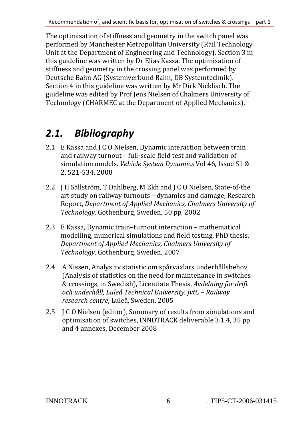The optimisation of stiffness and geometry in the switch panel was performed by Manchester Metropolitan University (Rail Technology Unit at the Department of Engineering and Technology). Section 3 in this guideline was written by Dr Elias Kassa. The optimisation of stiffness and geometry in the crossing panel was performed by Deutsche Bahn AG (Systemverbund Bahn, DB Systemtechnik). Section 4 in this guideline was written by Mr Dirk Nicklisch. The guideline was edited by Prof Jens Nielsen of Chalmers University of Technology (CHARMEC at the Department of Applied Mechanics).

#### *2.1. Bibliography*

- 2.1 E Kassa and J C O Nielsen, Dynamic interaction between train and railway turnout – full-scale field test and validation of simulation models. *Vehicle System Dynamics* Vol 46, Issue S1 & 2, 521-534, 2008
- 2.2 J H Sällström, T Dahlberg, M Ekh and J C O Nielsen, State-of-the art study on railway turnouts – dynamics and damage, Research Report, *Department of Applied Mechanics, Chalmers University of Technology,* Gothenburg, Sweden, 50 pp, 2002
- 2.3 E Kassa, Dynamic train–turnout interaction mathematical modelling, numerical simulations and field testing, PhD thesis, *Department of Applied Mechanics, Chalmers University of Technology,* Gothenburg, Sweden, 2007
- 2.4 A Nissen, Analys av statistic om spårväxlars underhållsbehov (Analysis of statistics on the need for maintenance in switches & crossings, in Swedish), Licentiate Thesis, *Avdelning för drift och underhåll, Luleå Technical University, JvtC – Railway research centre*, Luleå, Sweden, 2005
- 2.5 J C O Nielsen (editor), Summary of results from simulations and optimisation of switches, INNOTRACK deliverable 3.1.4, 35 pp and 4 annexes, December 2008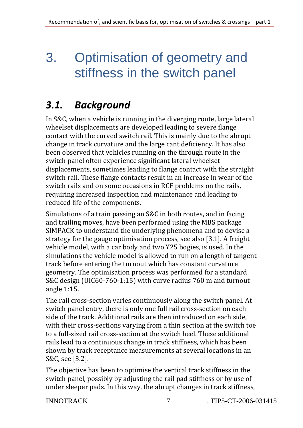### 3. Optimisation of geometry and stiffness in the switch panel

### *3.1. Background*

In S&C, when a vehicle is running in the diverging route, large lateral wheelset displacements are developed leading to severe flange contact with the curved switch rail. This is mainly due to the abrupt change in track curvature and the large cant deficiency. It has also been observed that vehicles running on the through route in the switch panel often experience significant lateral wheelset displacements, sometimes leading to flange contact with the straight switch rail. These flange contacts result in an increase in wear of the switch rails and on some occasions in RCF problems on the rails, requiring increased inspection and maintenance and leading to reduced life of the components.

Simulations of a train passing an S&C in both routes, and in facing and trailing moves, have been performed using the MBS package SIMPACK to understand the underlying phenomena and to devise a strategy for the gauge optimisation process, see also [3.1]. A freight vehicle model, with a car body and two Y25 bogies, is used. In the simulations the vehicle model is allowed to run on a length of tangent track before entering the turnout which has constant curvature geometry. The optimisation process was performed for a standard S&C design (UIC60-760-1:15) with curve radius 760 m and turnout angle 1:15.

The rail cross-section varies continuously along the switch panel. At switch panel entry, there is only one full rail cross-section on each side of the track. Additional rails are then introduced on each side, with their cross-sections varying from a thin section at the switch toe to a full-sized rail cross-section at the switch heel. These additional rails lead to a continuous change in track stiffness, which has been shown by track receptance measurements at several locations in an S&C, see [3.2].

The objective has been to optimise the vertical track stiffness in the switch panel, possibly by adjusting the rail pad stiffness or by use of under sleeper pads. In this way, the abrupt changes in track stiffness,

INNOTRACK 7 . TIP5-CT-2006-031415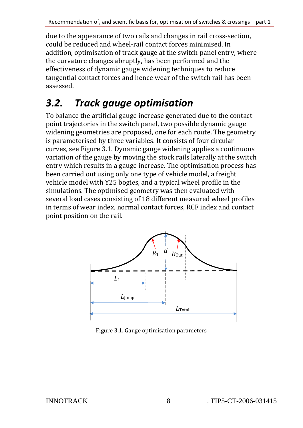due to the appearance of two rails and changes in rail cross-section, could be reduced and wheel-rail contact forces minimised. In addition, optimisation of track gauge at the switch panel entry, where the curvature changes abruptly, has been performed and the effectiveness of dynamic gauge widening techniques to reduce tangential contact forces and hence wear of the switch rail has been assessed.

#### *3.2. Track gauge optimisation*

To balance the artificial gauge increase generated due to the contact point trajectories in the switch panel, two possible dynamic gauge widening geometries are proposed, one for each route. The geometry is parameterised by three variables. It consists of four circular curves, see Figure 3.1. Dynamic gauge widening applies a continuous variation of the gauge by moving the stock rails laterally at the switch entry which results in a gauge increase. The optimisation process has been carried out using only one type of vehicle model, a freight vehicle model with Y25 bogies, and a typical wheel profile in the simulations. The optimised geometry was then evaluated with several load cases consisting of 18 different measured wheel profiles in terms of wear index, normal contact forces, RCF index and contact point position on the rail.



Figure 3.1. Gauge optimisation parameters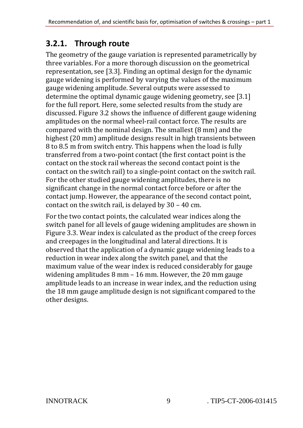#### **3.2.1. Through route**

The geometry of the gauge variation is represented parametrically by three variables. For a more thorough discussion on the geometrical representation, see [3.3]. Finding an optimal design for the dynamic gauge widening is performed by varying the values of the maximum gauge widening amplitude. Several outputs were assessed to determine the optimal dynamic gauge widening geometry, see [3.1] for the full report. Here, some selected results from the study are discussed. Figure 3.2 shows the influence of different gauge widening amplitudes on the normal wheel-rail contact force. The results are compared with the nominal design. The smallest (8 mm) and the highest (20 mm) amplitude designs result in high transients between 8 to 8.5 m from switch entry. This happens when the load is fully transferred from a two-point contact (the first contact point is the contact on the stock rail whereas the second contact point is the contact on the switch rail) to a single-point contact on the switch rail. For the other studied gauge widening amplitudes, there is no significant change in the normal contact force before or after the contact jump. However, the appearance of the second contact point, contact on the switch rail, is delayed by 30 – 40 cm.

For the two contact points, the calculated wear indices along the switch panel for all levels of gauge widening amplitudes are shown in Figure 3.3. Wear index is calculated as the product of the creep forces and creepages in the longitudinal and lateral directions. It is observed that the application of a dynamic gauge widening leads to a reduction in wear index along the switch panel, and that the maximum value of the wear index is reduced considerably for gauge widening amplitudes 8 mm – 16 mm. However, the 20 mm gauge amplitude leads to an increase in wear index, and the reduction using the 18 mm gauge amplitude design is not significant compared to the other designs.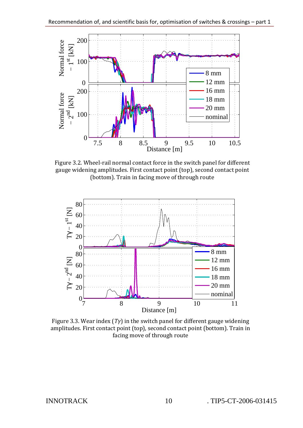

Figure 3.2. Wheel-rail normal contact force in the switch panel for different gauge widening amplitudes. First contact point (top), second contact point (bottom). Train in facing move of through route



Figure 3.3. Wear index (*Tγ*) in the switch panel for different gauge widening amplitudes. First contact point (top), second contact point (bottom). Train in facing move of through route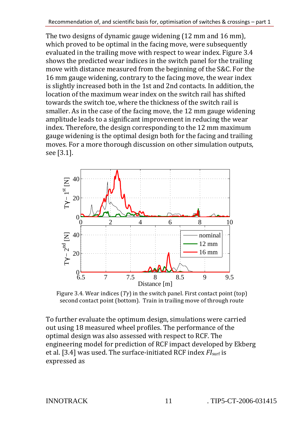The two designs of dynamic gauge widening (12 mm and 16 mm), which proved to be optimal in the facing move, were subsequently evaluated in the trailing move with respect to wear index. Figure 3.4 shows the predicted wear indices in the switch panel for the trailing move with distance measured from the beginning of the S&C. For the 16 mm gauge widening, contrary to the facing move, the wear index is slightly increased both in the 1st and 2nd contacts. In addition, the location of the maximum wear index on the switch rail has shifted towards the switch toe, where the thickness of the switch rail is smaller. As in the case of the facing move, the 12 mm gauge widening amplitude leads to a significant improvement in reducing the wear index. Therefore, the design corresponding to the 12 mm maximum gauge widening is the optimal design both for the facing and trailing moves. For a more thorough discussion on other simulation outputs, see [3.1].



Figure 3.4. Wear indices (*Tγ*) in the switch panel. First contact point (top) second contact point (bottom). Train in trailing move of through route

To further evaluate the optimum design, simulations were carried out using 18 measured wheel profiles. The performance of the optimal design was also assessed with respect to RCF. The engineering model for prediction of RCF impact developed by Ekberg et al. [3.4] was used. The surface-initiated RCF index *FI*surf is expressed as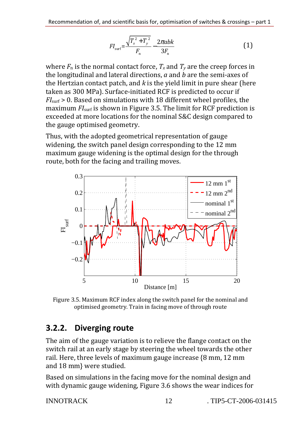$$
FI_{\text{surf}} = \frac{\sqrt{T_x^2 + T_y^2}}{F_n} - \frac{2\pi abk}{3F_n}
$$
 (1)

where  $F_n$  is the normal contact force,  $T_x$  and  $T_y$  are the creep forces in the longitudinal and lateral directions, *a* and *b* are the semi-axes of the Hertzian contact patch, and *k* is the yield limit in pure shear (here taken as 300 MPa). Surface-initiated RCF is predicted to occur if *FI*surf > 0. Based on simulations with 18 different wheel profiles, the maximum *FI*<sub>surf</sub> is shown in Figure 3.5. The limit for RCF prediction is exceeded at more locations for the nominal S&C design compared to the gauge optimised geometry.

Thus, with the adopted geometrical representation of gauge widening, the switch panel design corresponding to the 12 mm maximum gauge widening is the optimal design for the through route, both for the facing and trailing moves.



Figure 3.5. Maximum RCF index along the switch panel for the nominal and optimised geometry. Train in facing move of through route

#### **3.2.2. Diverging route**

The aim of the gauge variation is to relieve the flange contact on the switch rail at an early stage by steering the wheel towards the other rail. Here, three levels of maximum gauge increase {8 mm, 12 mm and 18 mm} were studied.

Based on simulations in the facing move for the nominal design and with dynamic gauge widening, Figure 3.6 shows the wear indices for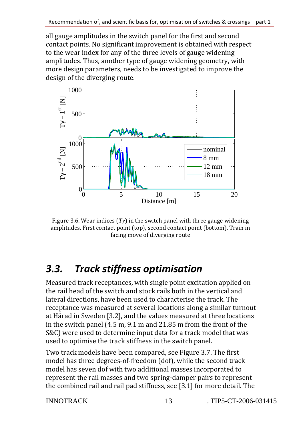all gauge amplitudes in the switch panel for the first and second contact points. No significant improvement is obtained with respect to the wear index for any of the three levels of gauge widening amplitudes. Thus, another type of gauge widening geometry, with more design parameters, needs to be investigated to improve the design of the diverging route.



Figure 3.6. Wear indices (*Tγ*) in the switch panel with three gauge widening amplitudes. First contact point (top), second contact point (bottom). Train in facing move of diverging route

#### *3.3. Track stiffness optimisation*

Measured track receptances, with single point excitation applied on the rail head of the switch and stock rails both in the vertical and lateral directions, have been used to characterise the track. The receptance was measured at several locations along a similar turnout at Härad in Sweden [3.2], and the values measured at three locations in the switch panel (4.5 m, 9.1 m and 21.85 m from the front of the S&C) were used to determine input data for a track model that was used to optimise the track stiffness in the switch panel.

Two track models have been compared, see Figure 3.7. The first model has three degrees-of-freedom (dof), while the second track model has seven dof with two additional masses incorporated to represent the rail masses and two spring-damper pairs to represent the combined rail and rail pad stiffness, see [3.1] for more detail. The

INNOTRACK 13 . TIP5-CT-2006-031415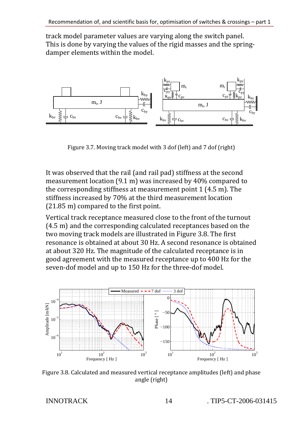track model parameter values are varying along the switch panel. This is done by varying the values of the rigid masses and the springdamper elements within the model.



Figure 3.7. Moving track model with 3 dof (left) and 7 dof (right)

It was observed that the rail (and rail pad) stiffness at the second measurement location (9.1 m) was increased by 40% compared to the corresponding stiffness at measurement point 1 (4.5 m). The stiffness increased by 70% at the third measurement location (21.85 m) compared to the first point.

Vertical track receptance measured close to the front of the turnout (4.5 m) and the corresponding calculated receptances based on the two moving track models are illustrated in Figure 3.8. The first resonance is obtained at about 30 Hz. A second resonance is obtained at about 320 Hz. The magnitude of the calculated receptance is in good agreement with the measured receptance up to 400 Hz for the seven-dof model and up to 150 Hz for the three-dof model.



Figure 3.8. Calculated and measured vertical receptance amplitudes (left) and phase angle (right)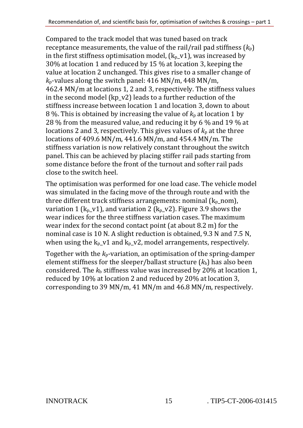Compared to the track model that was tuned based on track receptance measurements, the value of the rail/rail pad stiffness  $(k_p)$ in the first stiffness optimisation model,  $(k_p_v 1)$ , was increased by 30% at location 1 and reduced by 15 % at location 3, keeping the value at location 2 unchanged. This gives rise to a smaller change of *k*p-values along the switch panel: 416 MN/m, 448 MN/m, 462.4 MN/m at locations 1, 2 and 3, respectively. The stiffness values in the second model (kp\_v2) leads to a further reduction of the stiffness increase between location 1 and location 3, down to about 8 %. This is obtained by increasing the value of  $k<sub>p</sub>$  at location 1 by 28 % from the measured value, and reducing it by 6 % and 19 % at locations 2 and 3, respectively. This gives values of  $k_p$  at the three locations of 409.6 MN/m, 441.6 MN/m, and 454.4 MN/m. The stiffness variation is now relatively constant throughout the switch panel. This can be achieved by placing stiffer rail pads starting from some distance before the front of the turnout and softer rail pads close to the switch heel.

The optimisation was performed for one load case. The vehicle model was simulated in the facing move of the through route and with the three different track stiffness arrangements: nominal  $(k_p \text{nom})$ , variation 1 (k<sub>p</sub> v1), and variation 2 (k<sub>p</sub> v2). Figure 3.9 shows the wear indices for the three stiffness variation cases. The maximum wear index for the second contact point (at about 8.2 m) for the nominal case is 10 N. A slight reduction is obtained, 9.3 N and 7.5 N, when using the  $k_p$  v1 and  $k_p$  v2, model arrangements, respectively.

Together with the  $k_p$ -variation, an optimisation of the spring-damper element stiffness for the sleeper/ballast structure  $(k_b)$  has also been considered. The *k*b stiffness value was increased by 20% at location 1, reduced by 10% at location 2 and reduced by 20% at location 3, corresponding to 39 MN/m, 41 MN/m and 46.8 MN/m, respectively.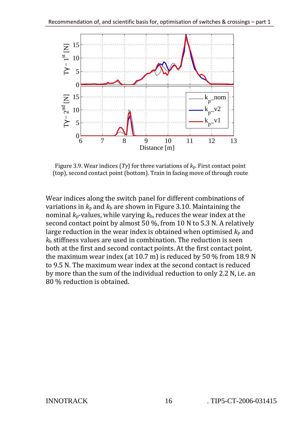

Figure 3.9. Wear indices (*Tγ*) for three variations of *k*p. First contact point (top), second contact point (bottom). Train in facing move of through route

Wear indices along the switch panel for different combinations of variations in  $k_p$  and  $k_b$  are shown in Figure 3.10. Maintaining the nominal  $k_p$ -values, while varying  $k_b$ , reduces the wear index at the second contact point by almost 50 %, from 10 N to 5.3 N. A relatively large reduction in the wear index is obtained when optimised  $k<sub>p</sub>$  and *k*b stiffness values are used in combination. The reduction is seen both at the first and second contact points. At the first contact point, the maximum wear index (at 10.7 m) is reduced by 50 % from 18.9 N to 9.5 N. The maximum wear index at the second contact is reduced by more than the sum of the individual reduction to only 2.2 N, i.e. an 80 % reduction is obtained.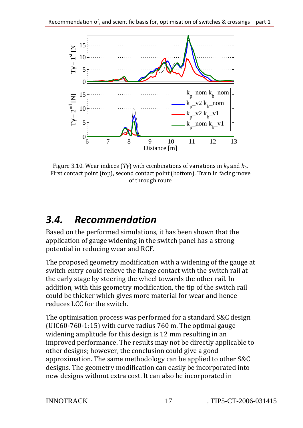

Figure 3.10. Wear indices  $(T\gamma)$  with combinations of variations in  $k_p$  and  $k_b$ . First contact point (top), second contact point (bottom). Train in facing move of through route

#### *3.4. Recommendation*

Based on the performed simulations, it has been shown that the application of gauge widening in the switch panel has a strong potential in reducing wear and RCF.

The proposed geometry modification with a widening of the gauge at switch entry could relieve the flange contact with the switch rail at the early stage by steering the wheel towards the other rail. In addition, with this geometry modification, the tip of the switch rail could be thicker which gives more material for wear and hence reduces LCC for the switch.

The optimisation process was performed for a standard S&C design (UIC60-760-1:15) with curve radius 760 m. The optimal gauge widening amplitude for this design is 12 mm resulting in an improved performance. The results may not be directly applicable to other designs; however, the conclusion could give a good approximation. The same methodology can be applied to other S&C designs. The geometry modification can easily be incorporated into new designs without extra cost. It can also be incorporated in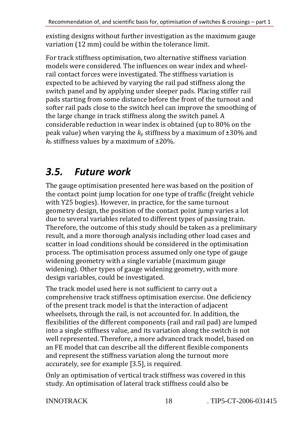existing designs without further investigation as the maximum gauge variation (12 mm) could be within the tolerance limit.

For track stiffness optimisation, two alternative stiffness variation models were considered. The influences on wear index and wheelrail contact forces were investigated. The stiffness variation is expected to be achieved by varying the rail pad stiffness along the switch panel and by applying under sleeper pads. Placing stiffer rail pads starting from some distance before the front of the turnout and softer rail pads close to the switch heel can improve the smoothing of the large change in track stiffness along the switch panel. A considerable reduction in wear index is obtained (up to 80% on the peak value) when varying the  $k<sub>p</sub>$  stiffness by a maximum of  $\pm 30\%$  and  $k<sub>b</sub>$  stiffness values by a maximum of  $\pm 20\%$ .

#### *3.5. Future work*

The gauge optimisation presented here was based on the position of the contact point jump location for one type of traffic (freight vehicle with Y25 bogies). However, in practice, for the same turnout geometry design, the position of the contact point jump varies a lot due to several variables related to different types of passing train. Therefore, the outcome of this study should be taken as a preliminary result, and a more thorough analysis including other load cases and scatter in load conditions should be considered in the optimisation process. The optimisation process assumed only one type of gauge widening geometry with a single variable (maximum gauge widening). Other types of gauge widening geometry, with more design variables, could be investigated.

The track model used here is not sufficient to carry out a comprehensive track stiffness optimisation exercise. One deficiency of the present track model is that the interaction of adjacent wheelsets, through the rail, is not accounted for. In addition, the flexibilities of the different components (rail and rail pad) are lumped into a single stiffness value, and its variation along the switch is not well represented. Therefore, a more advanced track model, based on an FE model that can describe all the different flexible components and represent the stiffness variation along the turnout more accurately, see for example [3.5], is required.

Only an optimisation of vertical track stiffness was covered in this study. An optimisation of lateral track stiffness could also be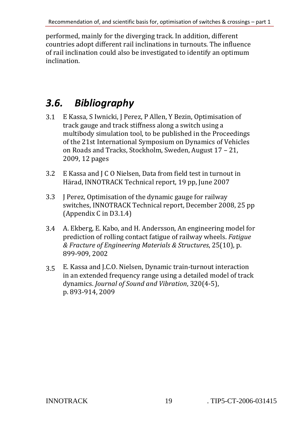performed, mainly for the diverging track. In addition, different countries adopt different rail inclinations in turnouts. The influence of rail inclination could also be investigated to identify an optimum inclination.

#### *3.6. Bibliography*

- 3.1 E Kassa, S Iwnicki, J Perez, P Allen, Y Bezin, Optimisation of track gauge and track stiffness along a switch using a multibody simulation tool, to be published in the Proceedings of the 21st International Symposium on Dynamics of Vehicles on Roads and Tracks, Stockholm, Sweden, August 17 – 21, 2009, 12 pages
- 3.2 E Kassa and J C O Nielsen, Data from field test in turnout in Härad, INNOTRACK Technical report, 19 pp, June 2007
- 3.3 J Perez, Optimisation of the dynamic gauge for railway switches, INNOTRACK Technical report, December 2008, 25 pp (Appendix C in D3.1.4)
- 3.4 A. Ekberg, E. Kabo, and H. Andersson, An engineering model for prediction of rolling contact fatigue of railway wheels. *Fatigue & Fracture of Engineering Materials & Structures*, 25(10), p. 899-909, 2002
- 3.5 E. Kassa and J.C.O. Nielsen, Dynamic train-turnout interaction in an extended frequency range using a detailed model of track dynamics. *Journal of Sound and Vibration*, 320(4-5), p. 893-914, 2009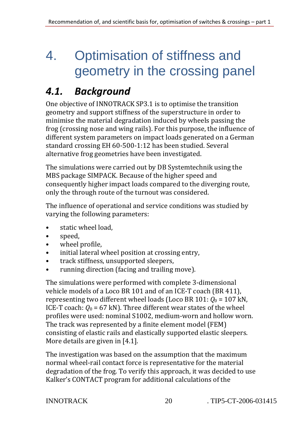### 4. Optimisation of stiffness and geometry in the crossing panel

#### *4.1. Background*

One objective of INNOTRACK SP3.1 is to optimise the transition geometry and support stiffness of the superstructure in order to minimise the material degradation induced by wheels passing the frog (crossing nose and wing rails). For this purpose, the influence of different system parameters on impact loads generated on a German standard crossing EH 60-500-1:12 has been studied. Several alternative frog geometries have been investigated.

The simulations were carried out by DB Systemtechnik using the MBS package SIMPACK. Because of the higher speed and consequently higher impact loads compared to the diverging route, only the through route of the turnout was considered.

The influence of operational and service conditions was studied by varying the following parameters:

- static wheel load,
- speed,
- wheel profile,
- initial lateral wheel position at crossing entry,
- track stiffness, unsupported sleepers,
- running direction (facing and trailing move).

The simulations were performed with complete 3-dimensional vehicle models of a Loco BR 101 and of an ICE-T coach (BR 411), representing two different wheel loads (Loco BR 101:  $Q_0 = 107$  kN, ICE-T coach:  $Q_0$  = 67 kN). Three different wear states of the wheel profiles were used: nominal S1002, medium-worn and hollow worn. The track was represented by a finite element model (FEM) consisting of elastic rails and elastically supported elastic sleepers. More details are given in [4.1].

The investigation was based on the assumption that the maximum normal wheel-rail contact force is representative for the material degradation of the frog. To verify this approach, it was decided to use Kalker's CONTACT program for additional calculations of the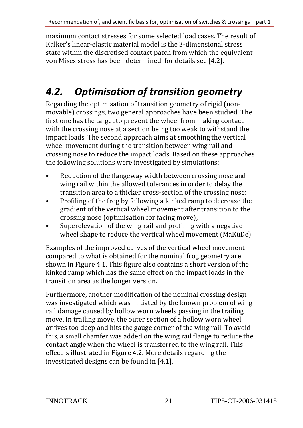maximum contact stresses for some selected load cases. The result of Kalker's linear-elastic material model is the 3-dimensional stress state within the discretised contact patch from which the equivalent von Mises stress has been determined, for details see [4.2].

#### *4.2. Optimisation of transition geometry*

Regarding the optimisation of transition geometry of rigid (nonmovable) crossings, two general approaches have been studied. The first one has the target to prevent the wheel from making contact with the crossing nose at a section being too weak to withstand the impact loads. The second approach aims at smoothing the vertical wheel movement during the transition between wing rail and crossing nose to reduce the impact loads. Based on these approaches the following solutions were investigated by simulations:

- Reduction of the flangeway width between crossing nose and wing rail within the allowed tolerances in order to delay the transition area to a thicker cross-section of the crossing nose;
- Profiling of the frog by following a kinked ramp to decrease the gradient of the vertical wheel movement after transition to the crossing nose (optimisation for facing move);
- Superelevation of the wing rail and profiling with a negative wheel shape to reduce the vertical wheel movement (MaKüDe).

Examples of the improved curves of the vertical wheel movement compared to what is obtained for the nominal frog geometry are shown in Figure 4.1. This figure also contains a short version of the kinked ramp which has the same effect on the impact loads in the transition area as the longer version.

Furthermore, another modification of the nominal crossing design was investigated which was initiated by the known problem of wing rail damage caused by hollow worn wheels passing in the trailing move. In trailing move, the outer section of a hollow worn wheel arrives too deep and hits the gauge corner of the wing rail. To avoid this, a small chamfer was added on the wing rail flange to reduce the contact angle when the wheel is transferred to the wing rail. This effect is illustrated in Figure 4.2. More details regarding the investigated designs can be found in [4.1].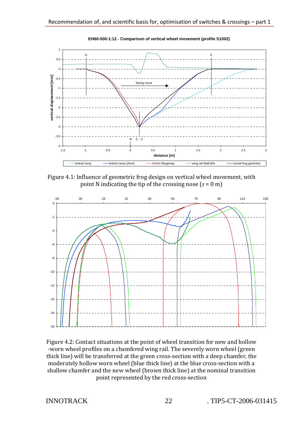

**EH60-500-1:12 - Comparison of vertical wheel movement (profile S1002)**

Figure 4.1: Influence of geometric frog design on vertical wheel movement, with point N indicating the tip of the crossing nose (*s* = 0 m)



Figure 4.2: Contact situations at the point of wheel transition for new and hollow -worn wheel profiles on a chamfered wing rail. The severely worn wheel (green thick line) will be transferred at the green cross-section with a deep chamfer, the moderately hollow worn wheel (blue thick line) at the blue cross-section with a shallow chamfer and the new wheel (brown thick line) at the nominal transition point represented by the red cross-section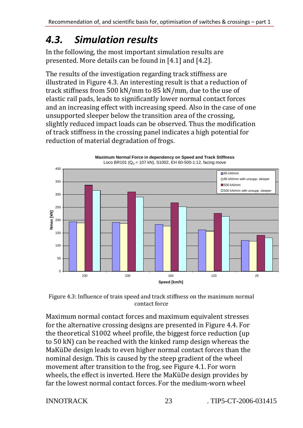#### *4.3. Simulation results*

In the following, the most important simulation results are presented. More details can be found in [4.1] and [4.2].

The results of the investigation regarding track stiffness are illustrated in Figure 4.3. An interesting result is that a reduction of track stiffness from 500 kN/mm to 85 kN/mm, due to the use of elastic rail pads, leads to significantly lower normal contact forces and an increasing effect with increasing speed. Also in the case of one unsupported sleeper below the transition area of the crossing, slightly reduced impact loads can be observed. Thus the modification of track stiffness in the crossing panel indicates a high potential for reduction of material degradation of frogs.



**Maximum Normal Force in dependency on Speed and Track Stiffness**

Figure 4.3: Influence of train speed and track stiffness on the maximum normal contact force

Maximum normal contact forces and maximum equivalent stresses for the alternative crossing designs are presented in Figure 4.4. For the theoretical S1002 wheel profile, the biggest force reduction (up to 50 kN) can be reached with the kinked ramp design whereas the MaKüDe design leads to even higher normal contact forces than the nominal design. This is caused by the steep gradient of the wheel movement after transition to the frog, see Figure 4.1. For worn wheels, the effect is inverted. Here the MaKüDe design provides by far the lowest normal contact forces. For the medium-worn wheel

INNOTRACK 23 TIP5-CT-2006-031415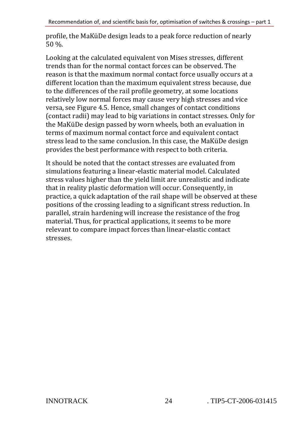profile, the MaKüDe design leads to a peak force reduction of nearly 50 %.

Looking at the calculated equivalent von Mises stresses, different trends than for the normal contact forces can be observed. The reason is that the maximum normal contact force usually occurs at a different location than the maximum equivalent stress because, due to the differences of the rail profile geometry, at some locations relatively low normal forces may cause very high stresses and vice versa, see Figure 4.5. Hence, small changes of contact conditions (contact radii) may lead to big variations in contact stresses. Only for the MaKüDe design passed by worn wheels, both an evaluation in terms of maximum normal contact force and equivalent contact stress lead to the same conclusion. In this case, the MaKüDe design provides the best performance with respect to both criteria.

It should be noted that the contact stresses are evaluated from simulations featuring a linear-elastic material model. Calculated stress values higher than the yield limit are unrealistic and indicate that in reality plastic deformation will occur. Consequently, in practice, a quick adaptation of the rail shape will be observed at these positions of the crossing leading to a significant stress reduction. In parallel, strain hardening will increase the resistance of the frog material. Thus, for practical applications, it seems to be more relevant to compare impact forces than linear-elastic contact stresses.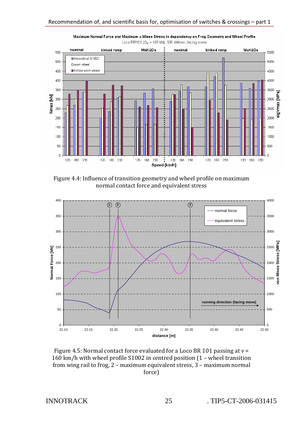

Maximum Normal Force and Maximum v.Mises Stress in dependency on Frog Geometry and Wheel Profile Loco BR101 ( $Q_0$  = 107 kN), 500 kN/mm, facing move

Figure 4.4: Influence of transition geometry and wheel profile on maximum normal contact force and equivalent stress



Figure 4.5: Normal contact force evaluated for a Loco BR 101 passing at *v* = 160 km/h with wheel profile S1002 in centred position (1 – wheel transition from wing rail to frog, 2 – maximum equivalent stress, 3 – maximum normal force)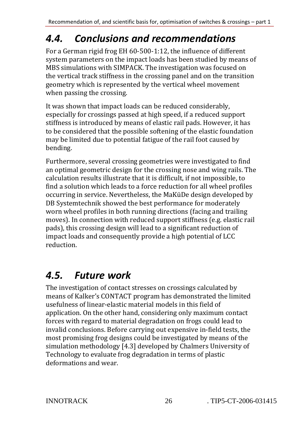### *4.4. Conclusions and recommendations*

For a German rigid frog EH 60-500-1:12, the influence of different system parameters on the impact loads has been studied by means of MBS simulations with SIMPACK. The investigation was focused on the vertical track stiffness in the crossing panel and on the transition geometry which is represented by the vertical wheel movement when passing the crossing.

It was shown that impact loads can be reduced considerably, especially for crossings passed at high speed, if a reduced support stiffness is introduced by means of elastic rail pads. However, it has to be considered that the possible softening of the elastic foundation may be limited due to potential fatigue of the rail foot caused by bending.

Furthermore, several crossing geometries were investigated to find an optimal geometric design for the crossing nose and wing rails. The calculation results illustrate that it is difficult, if not impossible, to find a solution which leads to a force reduction for all wheel profiles occurring in service. Nevertheless, the MaKüDe design developed by DB Systemtechnik showed the best performance for moderately worn wheel profiles in both running directions (facing and trailing moves). In connection with reduced support stiffness (e.g. elastic rail pads), this crossing design will lead to a significant reduction of impact loads and consequently provide a high potential of LCC reduction.

### *4.5. Future work*

The investigation of contact stresses on crossings calculated by means of Kalker's CONTACT program has demonstrated the limited usefulness of linear-elastic material models in this field of application. On the other hand, considering only maximum contact forces with regard to material degradation on frogs could lead to invalid conclusions. Before carrying out expensive in-field tests, the most promising frog designs could be investigated by means of the simulation methodology [4.3] developed by Chalmers University of Technology to evaluate frog degradation in terms of plastic deformations and wear.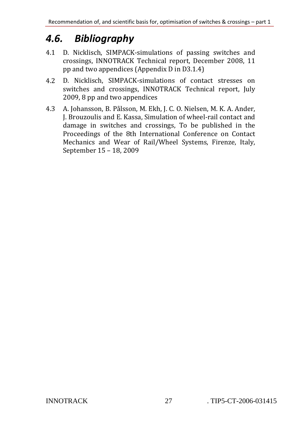### *4.6. Bibliography*

- 4.1 D. Nicklisch, SIMPACK-simulations of passing switches and crossings, INNOTRACK Technical report, December 2008, 11 pp and two appendices (Appendix D in D3.1.4)
- 4.2 D. Nicklisch, SIMPACK-simulations of contact stresses on switches and crossings, INNOTRACK Technical report, July 2009, 8 pp and two appendices
- 4.3 A. Johansson, B. Pålsson, M. Ekh, J. C. O. Nielsen, M. K. A. Ander, J. Brouzoulis and E. Kassa, Simulation of wheel-rail contact and damage in switches and crossings, To be published in the Proceedings of the 8th International Conference on Contact Mechanics and Wear of Rail/Wheel Systems, Firenze, Italy, September 15 – 18, 2009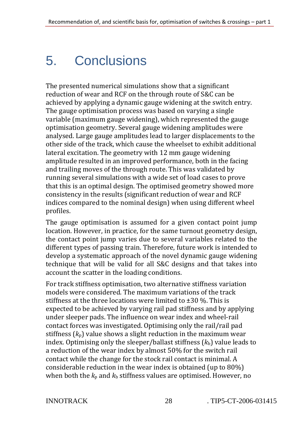## 5. Conclusions

The presented numerical simulations show that a significant reduction of wear and RCF on the through route of S&C can be achieved by applying a dynamic gauge widening at the switch entry. The gauge optimisation process was based on varying a single variable (maximum gauge widening), which represented the gauge optimisation geometry. Several gauge widening amplitudes were analysed. Large gauge amplitudes lead to larger displacements to the other side of the track, which cause the wheelset to exhibit additional lateral excitation. The geometry with 12 mm gauge widening amplitude resulted in an improved performance, both in the facing and trailing moves of the through route. This was validated by running several simulations with a wide set of load cases to prove that this is an optimal design. The optimised geometry showed more consistency in the results (significant reduction of wear and RCF indices compared to the nominal design) when using different wheel profiles.

The gauge optimisation is assumed for a given contact point jump location. However, in practice, for the same turnout geometry design, the contact point jump varies due to several variables related to the different types of passing train. Therefore, future work is intended to develop a systematic approach of the novel dynamic gauge widening technique that will be valid for all S&C designs and that takes into account the scatter in the loading conditions.

For track stiffness optimisation, two alternative stiffness variation models were considered. The maximum variations of the track stiffness at the three locations were limited to ±30 %. This is expected to be achieved by varying rail pad stiffness and by applying under sleeper pads. The influence on wear index and wheel-rail contact forces was investigated. Optimising only the rail/rail pad stiffness (*k*p) value shows a slight reduction in the maximum wear index. Optimising only the sleeper/ballast stiffness  $(k_b)$  value leads to a reduction of the wear index by almost 50% for the switch rail contact while the change for the stock rail contact is minimal. A considerable reduction in the wear index is obtained (up to 80%) when both the  $k_p$  and  $k_b$  stiffness values are optimised. However, no

INNOTRACK 28 . TIP5-CT-2006-031415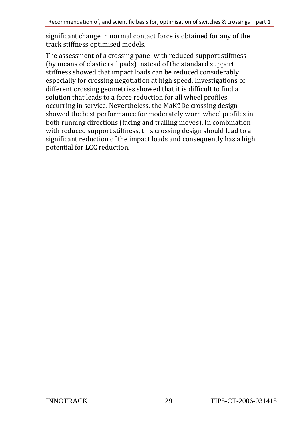significant change in normal contact force is obtained for any of the track stiffness optimised models.

The assessment of a crossing panel with reduced support stiffness (by means of elastic rail pads) instead of the standard support stiffness showed that impact loads can be reduced considerably especially for crossing negotiation at high speed. Investigations of different crossing geometries showed that it is difficult to find a solution that leads to a force reduction for all wheel profiles occurring in service. Nevertheless, the MaKüDe crossing design showed the best performance for moderately worn wheel profiles in both running directions (facing and trailing moves). In combination with reduced support stiffness, this crossing design should lead to a significant reduction of the impact loads and consequently has a high potential for LCC reduction.